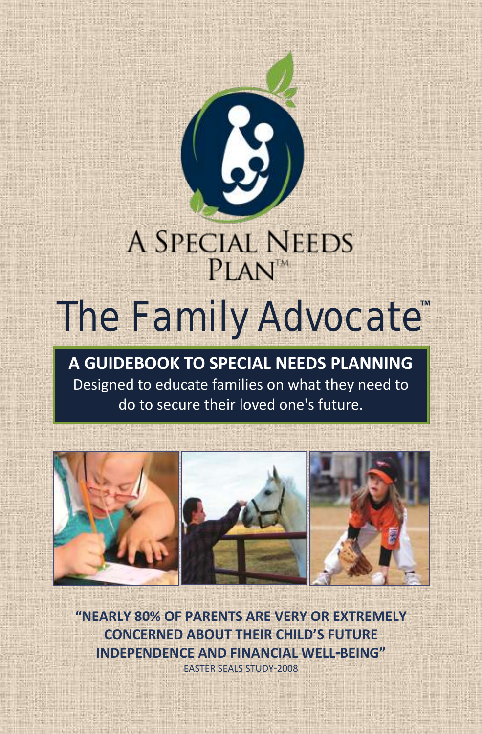

# **A SPECIAL NEEDS**  $PIAN^M$ The Family Advocate™

**A GUIDEBOOK TO SPECIAL NEEDS PLANNING** Designed to educate families on what they need to do to secure their loved one's future.



**"NEARLY 80% OF PARENTS ARE VERY OR EXTREMELY CONCERNED ABOUT THEIR CHILD'S FUTURE INDEPENDENCE AND FINANCIAL WELL-BEING"**  EASTER SEALS STUDY-2008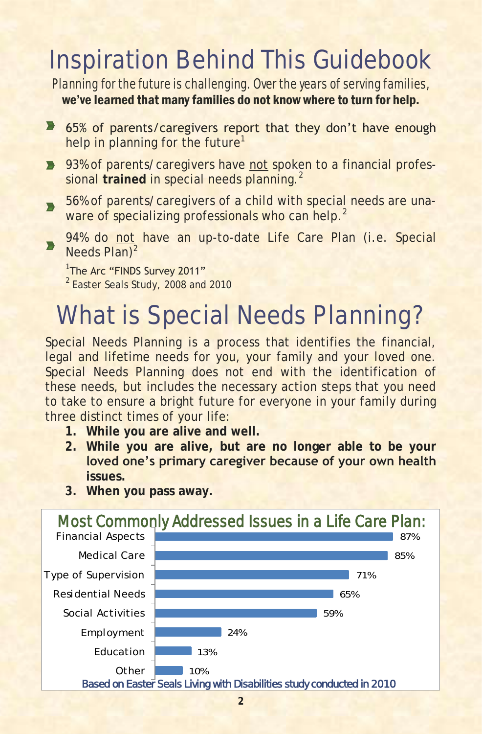## Inspiration Behind This Guidebook

Planning for the future is challenging. Over the years of serving families,

### we've learned that many families do not know where to turn for help.

- **65% of parents/caregivers report that they don't have enough** help in planning for the future<sup>1</sup>
- **93% of parents/caregivers have not spoken to a financial profes**sional trained in special needs planning.<sup>2</sup>
- 56% of parents/caregivers of a child with special needs are una- $\blacksquare$ ware of specializing professionals who can help.<sup>2</sup>
- 94% do not have an up-to-date Life Care Plan (i.e. Special  $\blacksquare$ Needs Plan)<sup>2</sup>

#### <sup>1</sup>The Arc "FINDS Survey 2011"

<sup>2</sup> Easter Seals Study, 2008 and 2010

## What is Special Needs Planning?

Special Needs Planning is a process that identifies the financial, legal and lifetime needs for you, your family and your loved one. Special Needs Planning does not end with the identification of these needs, but includes the necessary action steps that you need to take to ensure a bright future for everyone in your family during three distinct times of your life:

- **1. While you are alive and well.**
- **2. While you are alive, but are no longer able to be your loved one's primary caregiver because of your own health issues.**
- 10% 13% 24% 59% 65% 71% 85% 87% **Other** Education Employment Social Activities Residential Needs Type of Supervision Medical Care Financial Aspects Most Commonly Addressed Issues in a Life Care Plan: *Based on Easter Seals Living with Disabilities study conducted in 2010*
- **3. When you pass away.**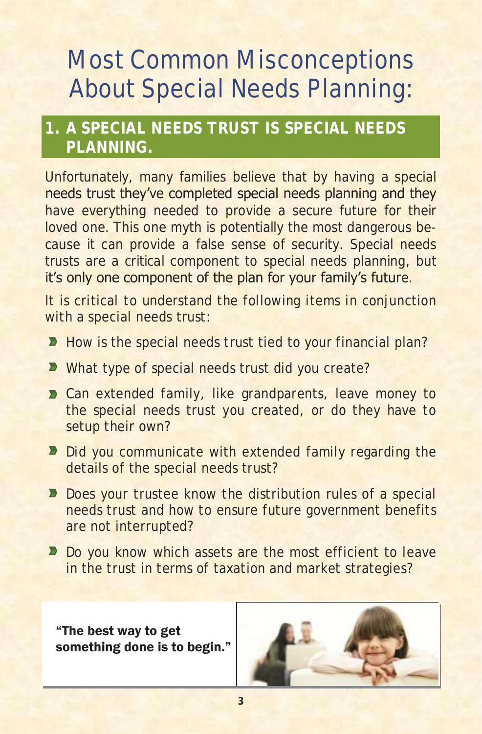## Most Common Misconceptions About Special Needs Planning:

### **1. A SPECIAL NEEDS TRUST IS SPECIAL NEEDS PLANNING.**

Unfortunately, many families believe that by having a special needs trust they've completed special needs planning and they have everything needed to provide a secure future for their loved one. This one myth is potentially the most dangerous because it can provide a false sense of security. Special needs trusts are a critical component to special needs planning, but it's only one component of the plan for your family's future.

It is critical to understand the following items in conjunction with a special needs trust:

- How is the special needs trust tied to your financial plan?
- **D** What type of special needs trust did you create?
- **D** Can extended family, like grandparents, leave money to the special needs trust you created, or do they have to setup their own?
- Did you communicate with extended family regarding the details of the special needs trust?
- Does your trustee know the distribution rules of a special needs trust and how to ensure future government benefits are not interrupted?
- Do you know which assets are the most efficient to leave in the trust in terms of taxation and market strategies?

"The best way to get something done is to begin."

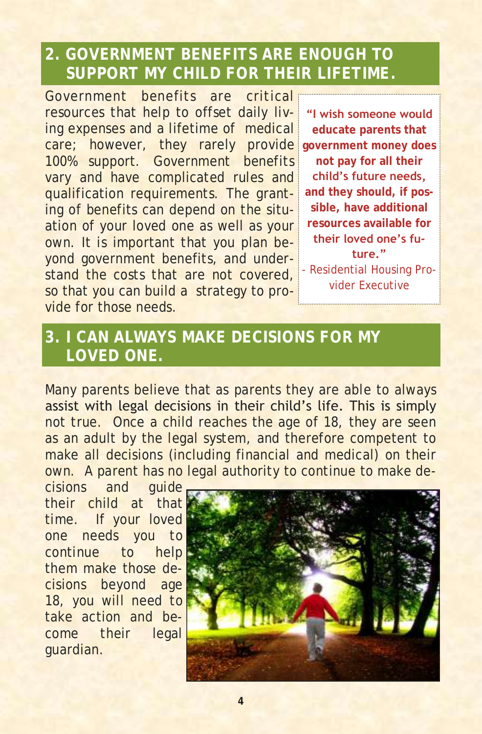### **2. GOVERNMENT BENEFITS ARE ENOUGH TO SUPPORT MY CHILD FOR THEIR LIFETIME.**

Government benefits are critical resources that help to offset daily living expenses and a lifetime of medical care; however, they rarely provide 100% support. Government benefits vary and have complicated rules and qualification requirements. The granting of benefits can depend on the situation of your loved one as well as your own. It is important that you plan beyond government benefits, and understand the costs that are not covered. so that you can build a strategy to provide for those needs.

**"I wish someone would educate parents that government money does not pay for all their child's future needs, and they should, if possible, have additional resources available for their loved one's future."**  - Residential Housing Pro-

vider Executive

### **3. I CAN ALWAYS MAKE DECISIONS FOR MY LOVED ONE.**

Many parents believe that as parents they are able to always assist with legal decisions in their child's life. This is simply not true. Once a child reaches the age of 18, they are seen as an adult by the legal system, and therefore competent to make all decisions (including financial and medical) on their own. A parent has no legal authority to continue to make de-

cisions and guide their child at that time. If your loved one needs you to continue to help them make those decisions beyond age 18, you will need to take action and become their legal guardian.

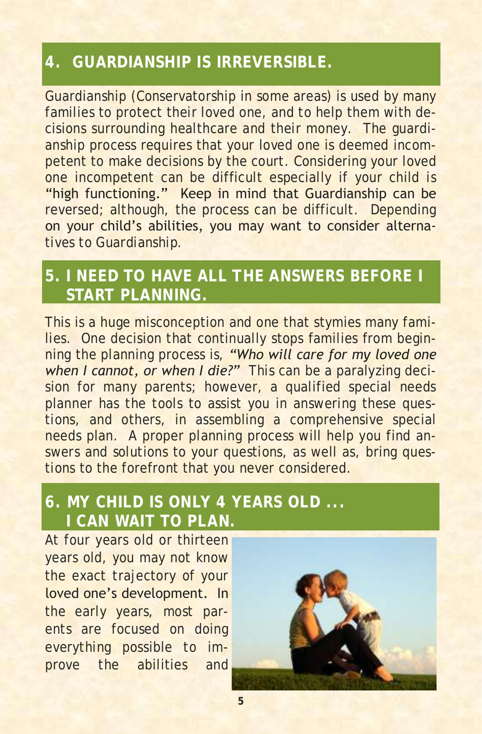### **4. GUARDIANSHIP IS IRREVERSIBLE.**

Guardianship (Conservatorship in some areas) is used by many families to protect their loved one, and to help them with decisions surrounding healthcare and their money. The guardianship process requires that your loved one is deemed incompetent to make decisions by the court. Considering your loved one incompetent can be difficult especially if your child is "high functioning." Keep in mind that Guardianship can be reversed; although, the process can be difficult. Depending on your child's abilities, you may want to consider alternatives to Guardianship.

### **5. I NEED TO HAVE ALL THE ANSWERS BEFORE I START PLANNING.**

This is a huge misconception and one that stymies many families. One decision that continually stops families from beginning the planning process is, *"Who will care for my loved one when I cannot, or when I die?"* This can be a paralyzing decision for many parents; however, a qualified special needs planner has the tools to assist you in answering these questions, and others, in assembling a comprehensive special needs plan. A proper planning process will help you find answers and solutions to your questions, as well as, bring questions to the forefront that you never considered.

### **6. MY CHILD IS ONLY 4 YEARS OLD ... I CAN WAIT TO PLAN.**

At four years old or thirteen years old, you may not know the exact trajectory of your loved one's development. In the early years, most parents are focused on doing everything possible to improve the abilities and

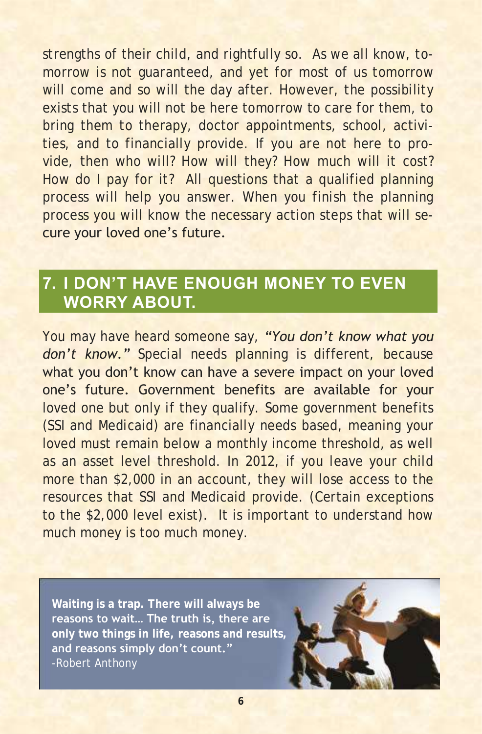strengths of their child, and rightfully so. As we all know, tomorrow is not guaranteed, and yet for most of us tomorrow will come and so will the day after. However, the possibility exists that you will not be here tomorrow to care for them, to bring them to therapy, doctor appointments, school, activities, and to financially provide. If you are not here to provide, then who will? How will they? How much will it cost? How do I pay for it? All questions that a qualified planning process will help you answer. When you finish the planning process you will know the necessary action steps that will secure your loved one's future.

### **7. I DON'T HAVE ENOUGH MONEY TO EVEN WORRY ABOUT.**

You may have heard someone say, *"You don't know what you*  don't know." Special needs planning is different, because what you don't know can have a severe impact on your loved one's future. Government benefits are available for your loved one but only if they qualify. Some government benefits (SSI and Medicaid) are financially needs based, meaning your loved must remain below a monthly income threshold, as well as an asset level threshold. In 2012, if you leave your child more than \$2,000 in an account, they will lose access to the resources that SSI and Medicaid provide. (Certain exceptions to the \$2,000 level exist). It is important to understand how much money is too much money.

**Waiting is a trap. There will always be reasons to wait… The truth is, there are only two things in life, reasons and results, and reasons simply don't count."** -Robert Anthony

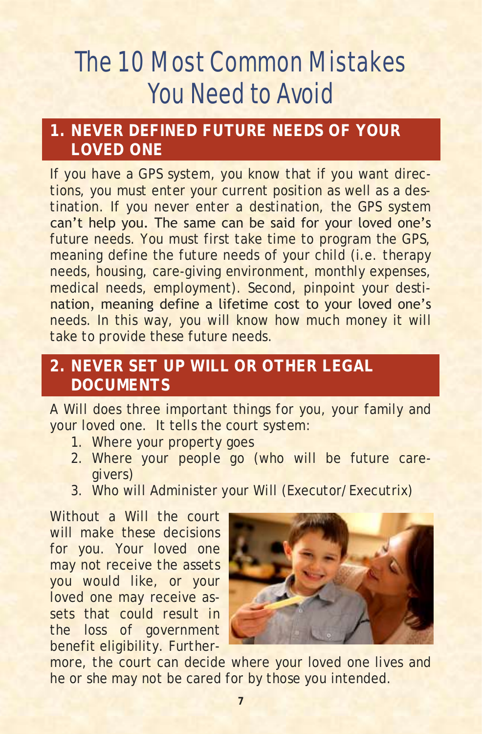# The 10 Most Common Mistakes You Need to Avoid

### **1. NEVER DEFINED FUTURE NEEDS OF YOUR LOVED ONE**

If you have a GPS system, you know that if you want directions, you must enter your current position as well as a destination. If you never enter a destination, the GPS system can't help you. The same can be said for your loved one's future needs. You must first take time to program the GPS, meaning define the future needs of your child (i.e. therapy needs, housing, care-giving environment, monthly expenses, medical needs, employment). Second, pinpoint your destination, meaning define a lifetime cost to your loved one's needs. In this way, you will know how much money it will take to provide these future needs.

### **2. NEVER SET UP WILL OR OTHER LEGAL DOCUMENTS**

A Will does three important things for you, your family and your loved one. It tells the court system:

- 1. Where your property goes
- 2. Where your people go (who will be future caregivers)
- 3. Who will Administer your Will (Executor/Executrix)

Without a Will the court will make these decisions for you. Your loved one may not receive the assets you would like, or your loved one may receive assets that could result in the loss of government benefit eligibility. Further-



more, the court can decide where your loved one lives and he or she may not be cared for by those you intended.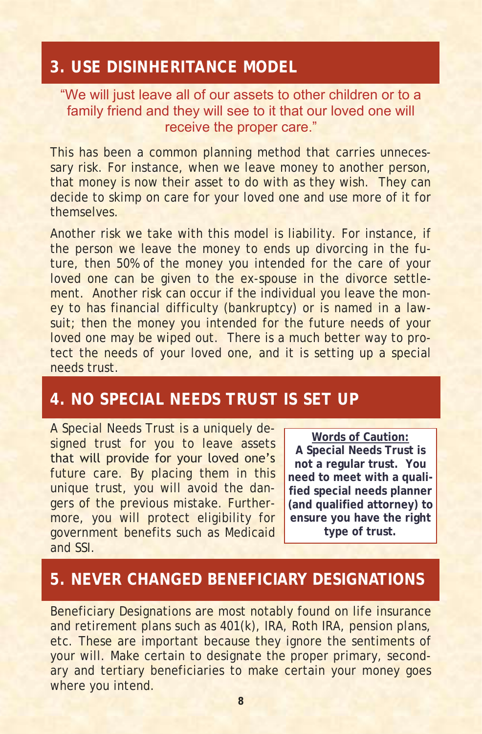### **3. USE DISINHERITANCE MODEL**

#### "We will just leave all of our assets to other children or to a family friend and they will see to it that our loved one will receive the proper care."

This has been a common planning method that carries unnecessary risk. For instance, when we leave money to another person, that money is now their asset to do with as they wish. They can decide to skimp on care for your loved one and use more of it for themselves.

Another risk we take with this model is liability. For instance, if the person we leave the money to ends up divorcing in the future, then 50% of the money you intended for the care of your loved one can be given to the ex-spouse in the divorce settlement. Another risk can occur if the individual you leave the money to has financial difficulty (bankruptcy) or is named in a lawsuit; then the money you intended for the future needs of your loved one may be wiped out. There is a much better way to protect the needs of your loved one, and it is setting up a special needs trust.

#### **4. NO SPECIAL NEEDS TRUST IS SET UP**

A Special Needs Trust is a uniquely designed trust for you to leave assets that will provide for your loved one's future care. By placing them in this unique trust, you will avoid the dangers of the previous mistake. Furthermore, you will protect eligibility for government benefits such as Medicaid and SSI.

**Words of Caution:**

**A Special Needs Trust is not a regular trust. You need to meet with a qualified special needs planner (and qualified attorney) to ensure you have the right type of trust.**

### **5. NEVER CHANGED BENEFICIARY DESIGNATIONS**

Beneficiary Designations are most notably found on life insurance and retirement plans such as 401(k), IRA, Roth IRA, pension plans, etc. These are important because they ignore the sentiments of your will. Make certain to designate the proper primary, secondary and tertiary beneficiaries to make certain your money goes where you intend.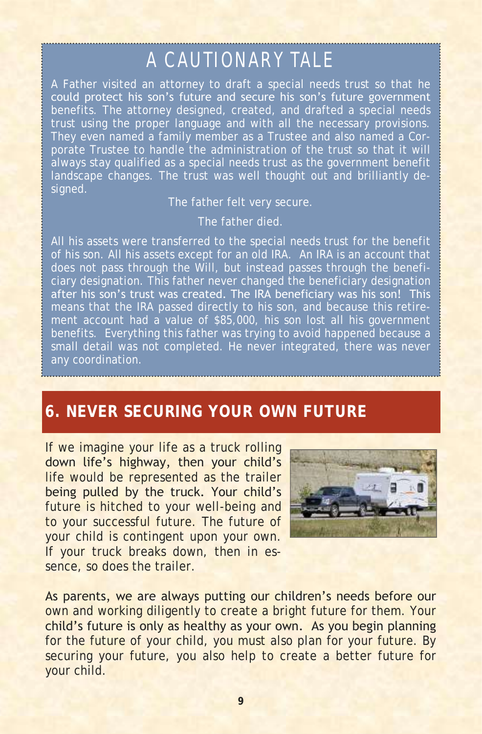## A CAUTION ARY TALE

A Father visited an attorney to draft a special needs trust so that he could protect his son's future and secure his son's future government trust using the proper language and with all the necessary provisions. porate Trustee to handle the administration of the trust so that it will always stay qualified as a special needs trust as the government benefit landscape changes. The trust was well thought out and brilliantly designed.

The father felt very secure.

The father died.

All his assets were transferred to the special needs trust for the benefit of his son. All his assets except for an old IRA. An IRA is an account that does not pass through the Will, but instead passes through the beneficiary designation. This father never changed the beneficiary designation after his son's trust was created. The IRA beneficiary was his son! This ment account had a value of \$85,000, his son lost all his government benefits. Everything this father was trying to avoid happened because a small detail was not completed. He never integrated, there was never any coordination.

### **6. NEVER SECURING YOUR OWN FUTURE**

If we imagine your life as a truck rolling down life's highway, then your child's life would be represented as the trailer being pulled by the truck. Your child's future is hitched to your well-being and to your successful future. The future of your child is contingent upon your own. If your truck breaks down, then in essence, so does the trailer.



As parents, we are always putting our children's needs before our own and working diligently to create a bright future for them. Your child's future is only as healthy as your own. As you begin planning for the future of your child, you must also plan for your future. By securing your future, you also help to create a better future for your child.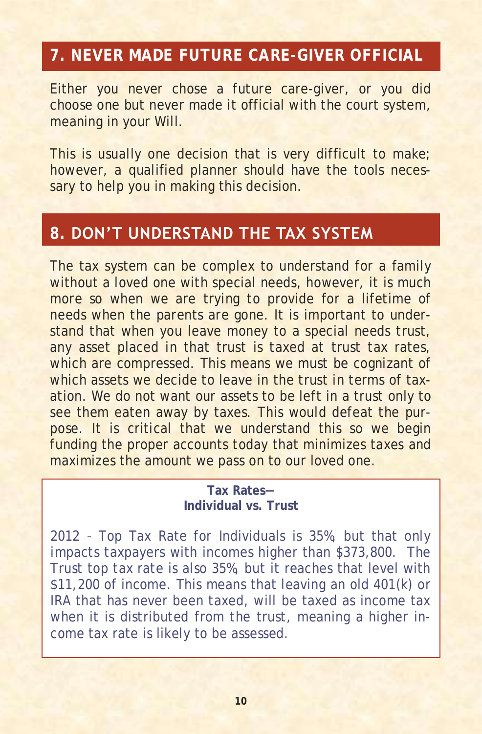### **7. NEVER MADE FUTURE CARE-GIVER OFFICIAL**

Either you never chose a future care-giver, or you did choose one but never made it official with the court system, meaning in your Will.

This is usually one decision that is very difficult to make; however, a qualified planner should have the tools necessary to help you in making this decision.

### **8. DON'T UNDERSTAND THE TAX SYSTEM**

The tax system can be complex to understand for a family without a loved one with special needs, however, it is much more so when we are trying to provide for a lifetime of needs when the parents are gone. It is important to understand that when you leave money to a special needs trust, any asset placed in that trust is taxed at trust tax rates, which are compressed. This means we must be cognizant of which assets we decide to leave in the trust in terms of taxation. We do not want our assets to be left in a trust only to see them eaten away by taxes. This would defeat the purpose. It is critical that we understand this so we begin funding the proper accounts today that minimizes taxes and maximizes the amount we pass on to our loved one.

#### **Tax Rates— Individual vs. Trust**

2012 – Top Tax Rate for Individuals is 35%, but that only impacts taxpayers with incomes higher than \$373,800. The Trust top tax rate is also 35%, but it reaches that level with \$11,200 of income. This means that leaving an old 401(k) or IRA that has never been taxed, will be taxed as income tax when it is distributed from the trust, meaning a higher income tax rate is likely to be assessed.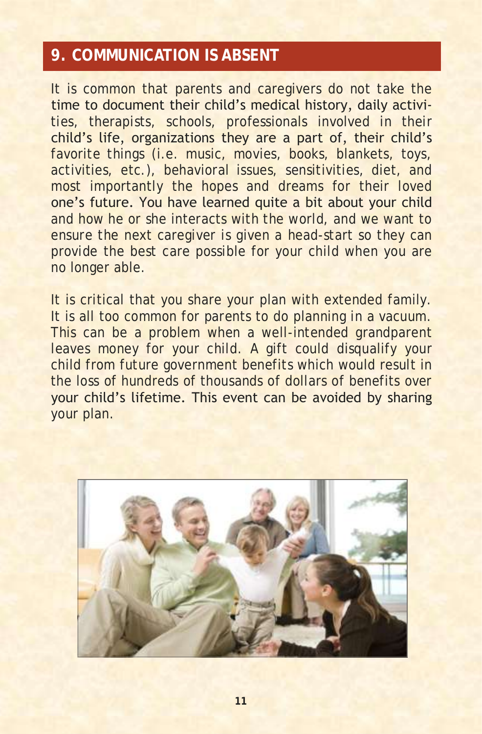### **9. COMMUNICATION IS ABSENT**

It is common that parents and caregivers do not take the time to document their child's medical history, daily activities, therapists, schools, professionals involved in their child's life, organizations they are a part of, their child's favorite things (i.e. music, movies, books, blankets, toys, activities, etc.), behavioral issues, sensitivities, diet, and most importantly the hopes and dreams for their loved one's future. You have learned quite a bit about your child and how he or she interacts with the world, and we want to ensure the next caregiver is given a head-start so they can provide the best care possible for your child when you are no longer able.

It is critical that you share your plan with extended family. It is all too common for parents to do planning in a vacuum. This can be a problem when a well-intended grandparent leaves money for your child. A gift could disqualify your child from future government benefits which would result in the loss of hundreds of thousands of dollars of benefits over your child's lifetime. This event can be avoided by sharing your plan.

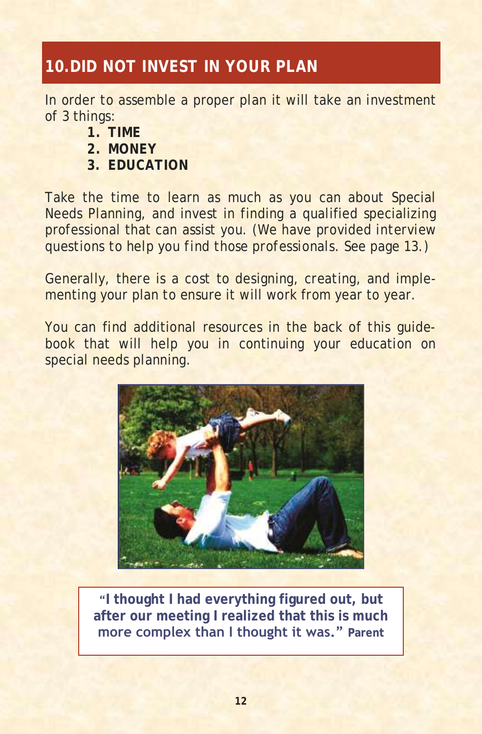### **10.DID NOT INVEST IN YOUR PLAN**

In order to assemble a proper plan it will take an investment of 3 things:

- **1. TIME**
- **2. MONEY**
- **3. EDUCATION**

Take the time to learn as much as you can about Special Needs Planning, and invest in finding a qualified specializing professional that can assist you. *(We have provided interview questions to help you find those professionals. See page 13.)*

Generally, there is a cost to designing, creating, and implementing your plan to ensure it will work from year to year.

You can find additional resources in the back of this guidebook that will help you in continuing your education on special needs planning.



**"I thought I had everything figured out, but after our meeting I realized that this is much more complex than I thought it was." Parent**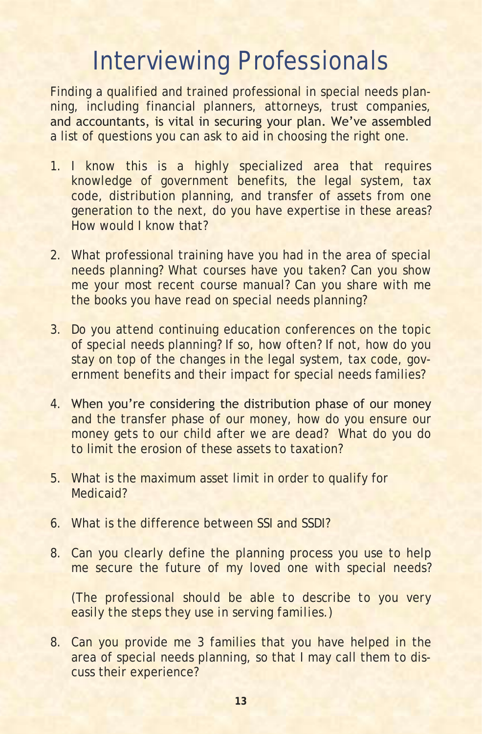## Interviewing Professionals

Finding a qualified and trained professional in special needs planning, including financial planners, attorneys, trust companies, and accountants, is vital in securing your plan. We've assembled a list of questions you can ask to aid in choosing the right one.

- 1. I know this is a highly specialized area that requires knowledge of government benefits, the legal system, tax code, distribution planning, and transfer of assets from one generation to the next, do you have expertise in these areas? How would I know that?
- 2. What professional training have you had in the area of special needs planning? What courses have you taken? Can you show me your most recent course manual? Can you share with me the books you have read on special needs planning?
- 3. Do you attend continuing education conferences on the topic of special needs planning? If so, how often? If not, how do you stay on top of the changes in the legal system, tax code, government benefits and their impact for special needs families?
- 4. When you're considering the distribution phase of our money and the transfer phase of our money, how do you ensure our money gets to our child after we are dead? What do you do to limit the erosion of these assets to taxation?
- 5. What is the maximum asset limit in order to qualify for Medicaid?
- 6. What is the difference between SSI and SSDI?
- 8. Can you clearly define the planning process you use to help me secure the future of my loved one with special needs?

*(The professional should be able to describe to you very easily the steps they use in serving families.)*

8. Can you provide me 3 families that you have helped in the area of special needs planning, so that I may call them to discuss their experience?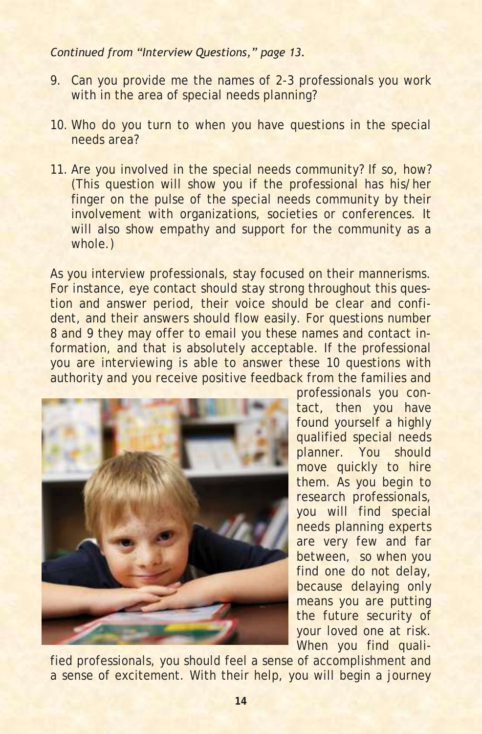#### *Continued from "Interview Questions," page 13.*

- 9. Can you provide me the names of 2-3 professionals you work with in the area of special needs planning?
- 10. Who do you turn to when you have questions in the special needs area?
- 11. Are you involved in the special needs community? If so, how? (This question will show you if the professional has his/her finger on the pulse of the special needs community by their involvement with organizations, societies or conferences. It will also show empathy and support for the community as a whole.)

As you interview professionals, stay focused on their mannerisms. For instance, eye contact should stay strong throughout this question and answer period, their voice should be clear and confident, and their answers should flow easily. For questions number 8 and 9 they may offer to email you these names and contact information, and that is absolutely acceptable. If the professional you are interviewing is able to answer these 10 questions with authority and you receive positive feedback from the families and



professionals you contact, then you have found yourself a highly qualified special needs planner. You should move quickly to hire them. As you begin to research professionals, you will find special needs planning experts are very few and far between, so when you find one do not delay, because delaying only means you are putting the future security of your loved one at risk. When you find quali-

fied professionals, you should feel a sense of accomplishment and a sense of excitement. With their help, you will begin a journey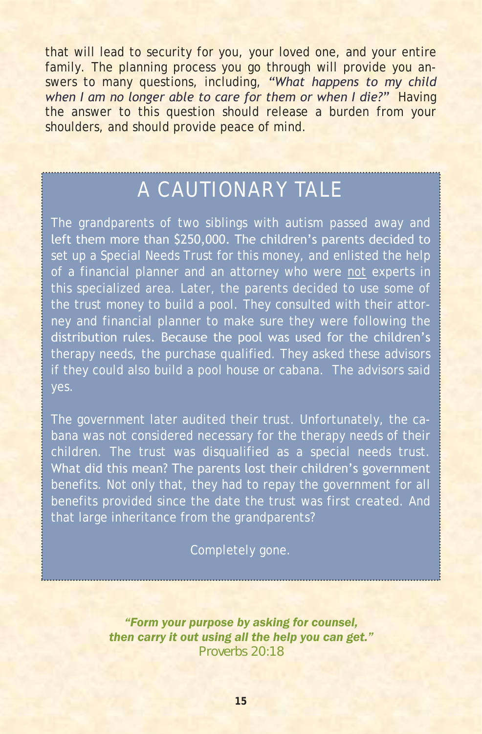that will lead to security for you, your loved one, and your entire family. The planning process you go through will provide you answers to many questions, including, *"What happens to my child when I am no longer able to care for them or when I die?"* Having the answer to this question should release a burden from your shoulders, and should provide peace of mind.

## A CAUTIONARY TALE

The grandparents of two siblings with autism passed away and left them more than \$250,000. The children's parents decided to set up a Special Needs Trust for this money, and enlisted the help of a financial planner and an attorney who were not experts in this specialized area. Later, the parents decided to use some of ney and financial planner to make sure they were following the distribution rules. Because the pool was used for the children's therapy needs, the purchase qualified. They asked these advisors if they could also build a pool house or cabana. The advisors said

The government later audited their trust. Unfortunately, the cabana was not considered necessary for the therapy needs of their children. The trust was disqualified as a special needs trust. What did this mean? The parents lost their children's government benefits. Not only that, they had to repay the government for all benefits provided since the date the trust was first created. And that large inheritance from the grandparents?

#### Completely gone.

*"Form your purpose by asking for counsel, then carry it out using all the help you can get." Proverbs 20:18*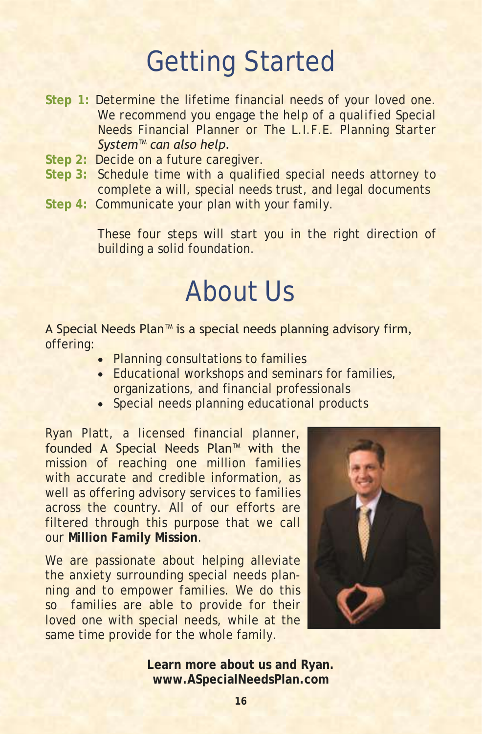# Getting Started

- **Step 1:** Determine the lifetime financial needs of your loved one. *We recommend you engage the help of a qualified Special Needs Financial Planner or The L.I.F.E. Planning Starter System™ can also help.*
- **Step 2:** Decide on a future caregiver.
- **Step 3:** Schedule time with a qualified special needs attorney to complete a will, special needs trust, and legal documents
- **Step 4:** Communicate your plan with your family.

These four steps will start you in the right direction of building a solid foundation.

## About Us

#### A Special Needs Plan™ is a special needs planning advisory firm, offering:

- Planning consultations to families
- Educational workshops and seminars for families, organizations, and financial professionals
- Special needs planning educational products

Ryan Platt, a licensed financial planner, founded A Special Needs Plan™ with the mission of reaching one million families with accurate and credible information, as well as offering advisory services to families across the country. All of our efforts are filtered through this purpose that we call our **Million Family Mission**.

We are passionate about helping alleviate the anxiety surrounding special needs planning and to empower families. We do this so families are able to provide for their loved one with special needs, while at the same time provide for the whole family.



**Learn more about us and Ryan. www.ASpecialNeedsPlan.com**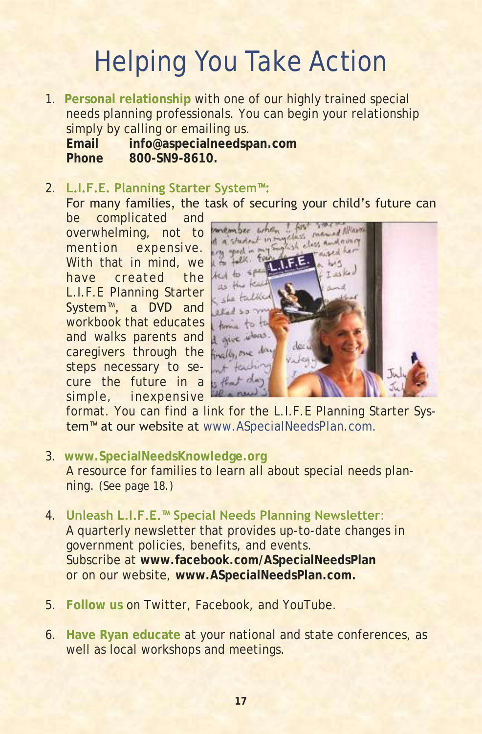# Helping You Take Action

1. **Personal relationship** with one of our highly trained special needs planning professionals. You can begin your relationship simply by calling or emailing us.

**Email info@aspecialneedspan.com Phone 800-SN9-8610.**

#### 2. **L.I.F.E. Planning Starter System™:**  For many families, the task of securing your child's future can

be complicated and overwhelming, not to mention expensive. With that in mind, we have created the L.I.F.E Planning Starter System™, a DVD and workbook that educates and walks parents and caregivers through the steps necessary to secure the future in a simple, inexpensive



format. You can find a link for the L.I.F.E Planning Starter System<sup>™</sup> at our website at www.ASpecialNeedsPlan.com.

- 3. **www.SpecialNeedsKnowledge.org**  A resource for families to learn all about special needs planning. *(See page 18.)*
- 4. **Unleash L.I.F.E.™ Special Needs Planning Newsletter**: A quarterly newsletter that provides up-to-date changes in government policies, benefits, and events. Subscribe at **www.facebook.com/ASpecialNeedsPlan** or on our website, **www.ASpecialNeedsPlan.com.**
- 5. **Follow us** on Twitter, Facebook, and YouTube.
- 6. **Have Ryan educate** at your national and state conferences, as well as local workshops and meetings.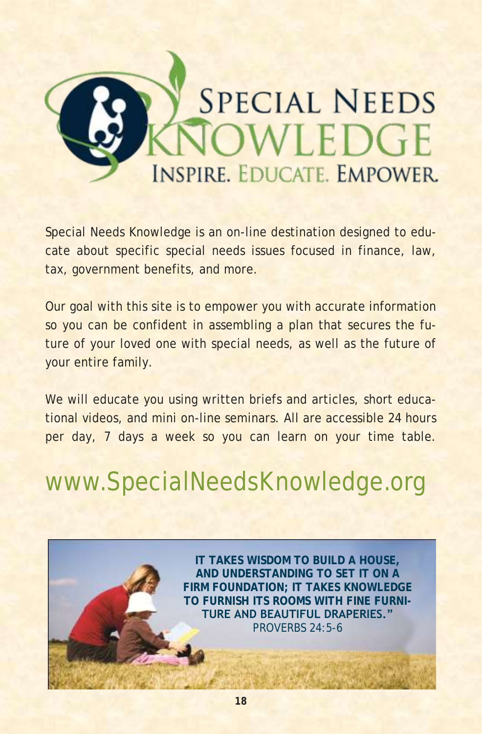

Special Needs Knowledge is an on-line destination designed to educate about specific special needs issues focused in finance, law, tax, government benefits, and more.

Our goal with this site is to empower you with accurate information so you can be confident in assembling a plan that secures the future of your loved one with special needs, as well as the future of your entire family.

We will educate you using written briefs and articles, short educational videos, and mini on-line seminars. All are accessible 24 hours per day, 7 days a week so you can learn on your time table.

www.SpecialNeedsKnowledge.org

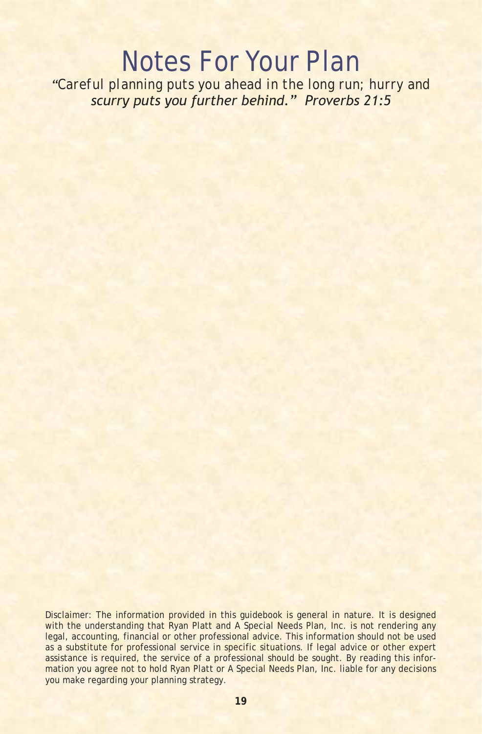## Notes For Your Plan

*"Careful planning puts you ahead in the long run; hurry and scurry puts you further behind." Proverbs 21:5*

Disclaimer: The information provided in this guidebook is general in nature. It is designed with the understanding that Ryan Platt and A Special Needs Plan, Inc. is not rendering any legal, accounting, financial or other professional advice. This information should not be used as a substitute for professional service in specific situations. If legal advice or other expert assistance is required, the service of a professional should be sought. By reading this information you agree not to hold Ryan Platt or A Special Needs Plan, Inc. liable for any decisions you make regarding your planning strategy.